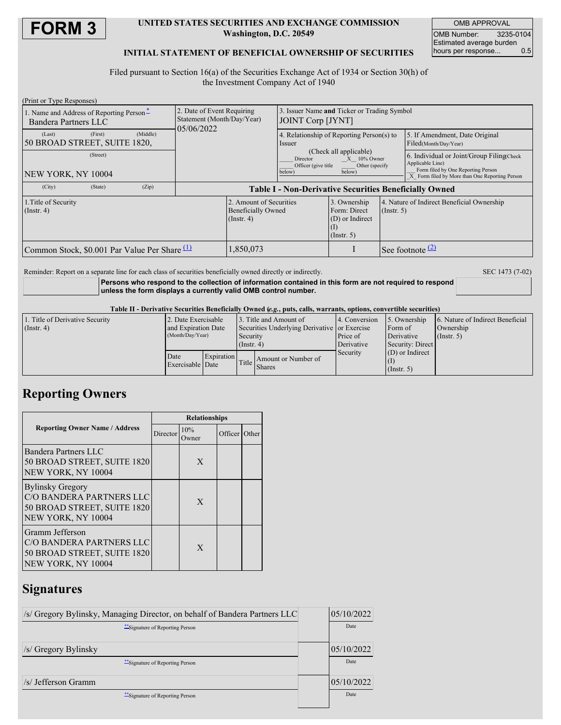

### **UNITED STATES SECURITIES AND EXCHANGE COMMISSION Washington, D.C. 20549**

OMB APPROVAL OMB Number: 3235-0104 Estimated average burden<br>hours per response... 0.5 hours per response...

## **INITIAL STATEMENT OF BENEFICIAL OWNERSHIP OF SECURITIES**

Filed pursuant to Section 16(a) of the Securities Exchange Act of 1934 or Section 30(h) of the Investment Company Act of 1940

| (Print or Type Responses)                                        |                                                                        |                                                                          |                                                                                                                      |                                                                     |                                                                |                                                                                                                                                       |
|------------------------------------------------------------------|------------------------------------------------------------------------|--------------------------------------------------------------------------|----------------------------------------------------------------------------------------------------------------------|---------------------------------------------------------------------|----------------------------------------------------------------|-------------------------------------------------------------------------------------------------------------------------------------------------------|
| 1. Name and Address of Reporting Person-<br>Bandera Partners LLC | 2. Date of Event Requiring<br>Statement (Month/Day/Year)<br>05/06/2022 |                                                                          | 3. Issuer Name and Ticker or Trading Symbol<br>JOINT Corp [JYNT]                                                     |                                                                     |                                                                |                                                                                                                                                       |
| (Middle)<br>(First)<br>(Last)<br>50 BROAD STREET, SUITE 1820,    |                                                                        |                                                                          | 4. Relationship of Reporting Person(s) to<br><i>ssuer</i>                                                            |                                                                     |                                                                | 5. If Amendment, Date Original<br>Filed(Month/Day/Year)                                                                                               |
| (Street)<br>NEW YORK, NY 10004                                   |                                                                        |                                                                          | (Check all applicable)<br>Director<br>$X = 10\%$ Owner<br>Officer (give title)<br>Other (specify<br>below)<br>below) |                                                                     |                                                                | 6. Individual or Joint/Group Filing Check<br>Applicable Line)<br>Form filed by One Reporting Person<br>X Form filed by More than One Reporting Person |
| (City)<br>(Zip)<br>(State)                                       | <b>Table I - Non-Derivative Securities Beneficially Owned</b>          |                                                                          |                                                                                                                      |                                                                     |                                                                |                                                                                                                                                       |
| 1. Title of Security<br>$($ Instr. 4 $)$                         |                                                                        | 2. Amount of Securities<br><b>Beneficially Owned</b><br>$($ Instr. 4 $)$ |                                                                                                                      | 3. Ownership<br>Form: Direct<br>(D) or Indirect<br>$($ Instr. 5 $)$ | 4. Nature of Indirect Beneficial Ownership<br>$($ Instr. 5 $)$ |                                                                                                                                                       |
| Common Stock, \$0.001 Par Value Per Share                        |                                                                        | .850,073                                                                 |                                                                                                                      |                                                                     | See footnote $(2)$                                             |                                                                                                                                                       |

Reminder: Report on a separate line for each class of securities beneficially owned directly or indirectly. SEC 1473 (7-02)

### **Persons who respond to the collection of information contained in this form are not required to respond unless the form displays a currently valid OMB control number.**

#### Table II - Derivative Securities Beneficially Owned (e.g., puts, calls, warrants, options, convertible securities)

| 1. Title of Derivative Security | 2. Date Exercisable      |                            |                                              | 3. Title and Amount of | 4. Conversion | 5. Ownership      | 6. Nature of Indirect Beneficial |
|---------------------------------|--------------------------|----------------------------|----------------------------------------------|------------------------|---------------|-------------------|----------------------------------|
| $($ Instr. 4 $)$                | and Expiration Date      |                            | Securities Underlying Derivative or Exercise |                        |               | Form of           | Ownership                        |
|                                 | (Month/Day/Year)         |                            | Security                                     |                        | Price of      | Derivative        | $($ Instr. 5 $)$                 |
|                                 |                          |                            | $($ Instr. 4 $)$                             |                        | Derivative    | Security: Direct  |                                  |
|                                 | Date<br>Exercisable Date | Expiration<br>Title Shares |                                              |                        | Security      | $(D)$ or Indirect |                                  |
|                                 |                          |                            |                                              | Amount or Number of    |               |                   |                                  |
|                                 |                          |                            |                                              |                        |               | $($ Instr. 5 $)$  |                                  |

## **Reporting Owners**

|                                                                                                          | <b>Relationships</b> |              |                 |  |  |  |
|----------------------------------------------------------------------------------------------------------|----------------------|--------------|-----------------|--|--|--|
| <b>Reporting Owner Name / Address</b>                                                                    | <b>Director</b>      | 10%<br>Owner | Officer   Other |  |  |  |
| Bandera Partners LLC<br>50 BROAD STREET, SUITE 1820<br>NEW YORK, NY 10004                                |                      | X            |                 |  |  |  |
| <b>Bylinsky Gregory</b><br>C/O BANDERA PARTNERS LLC<br>50 BROAD STREET, SUITE 1820<br>NEW YORK, NY 10004 |                      | X            |                 |  |  |  |
| Gramm Jefferson<br>C/O BANDERA PARTNERS LLC<br>50 BROAD STREET, SUITE 1820<br>NEW YORK, NY 10004         |                      | X            |                 |  |  |  |

## **Signatures**

| /s/ Gregory Bylinsky, Managing Director, on behalf of Bandera Partners LLC | 05/10/2022 |
|----------------------------------------------------------------------------|------------|
| **Signature of Reporting Person                                            | Date       |
|                                                                            |            |
| /s/ Gregory Bylinsky                                                       | 05/10/2022 |
| **Signature of Reporting Person                                            | Date       |
| /s/ Jefferson Gramm                                                        | 05/10/2022 |
| "Signature of Reporting Person"                                            | Date       |